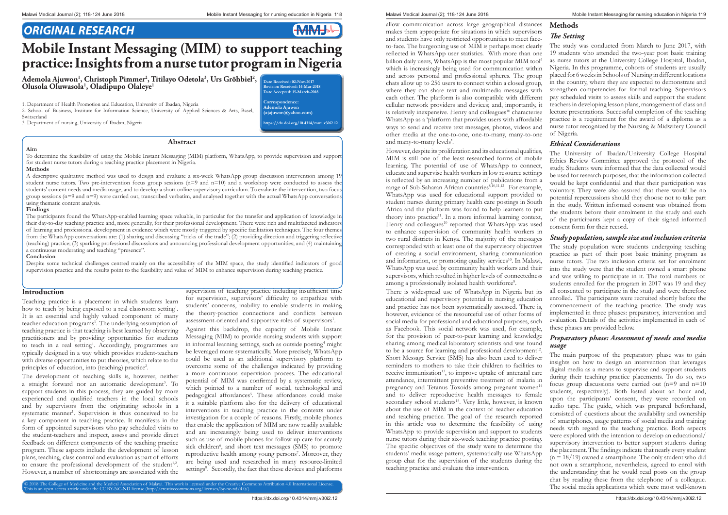© 2018 The College of Medicine and the Medical Association of Malawi. This work is licensed under the Creative Commons Attribution 4.0 International License. This is an open access article under the CC BY-NC-ND license (http://creativecommons.org/licenses/by-nc-nd/4.0/)

Teaching practice is a placement in which students learn how to teach by being exposed to a real classroom setting<sup>1</sup>. It is an essential and highly valued component of many teacher education programs<sup>1</sup>. The underlying assumption of teaching practice is that teaching is best learned by observing practitioners and by providing opportunities for students to teach in a real setting<sup>1</sup>. Accordingly, programmes are typically designed in a way which provides student-teachers with diverse opportunities to put theories, which relate to the principles of education, into (teaching) practice<sup>2</sup>.

1. Department of Health Promotion and Education, University of Ibadan, Nigeria

2. School of Business, Institute for Information Science, University of Applied Sciences & Arts, Basel, Switzerland

3. Department of nursing, University of Ibadan, Nigeria

### **Introduction**

Against this backdrop, the capacity of Mobile Instant Messaging (MIM) to provide nursing students with support in informal learning settings, such as outside posting<sup>4</sup> might be leveraged more systematically. More precisely, WhatsApp could be used as an additional supervisory platform to overcome some of the challenges indicated by providing a more continuous supervision process. The educational potential of MIM was confirmed by a systematic review, which pointed to a number of social, technological and pedagogical affordances<sup>5</sup>. These affordances could make it a suitable platform also for the delivery of educational interventions in teaching practice in the contexts under investigation for a couple of reasons. Firstly, mobile phones that enable the application of MIM are now readily available and are increasingly being used to deliver interventions such as use of mobile phones for follow-up care for acutely sick children<sup>6</sup>, and short text messages (SMS) to promote reproductive health among young persons<sup>7</sup>. Moreover, they are being used and researched in many resource-limited settings<sup>8</sup>. Secondly, the fact that these devices and platforms

The development of teaching skills is, however, neither a straight forward nor an automatic development<sup>3</sup>. To support students in this process, they are guided by more experienced and qualified teachers in the local schools and by supervisors from the originating schools in a systematic manner<sup>1</sup>. Supervision is thus conceived to be a key component in teaching practice. It manifests in the form of appointed supervisors who pay scheduled visits to the student-teachers and inspect, assess and provide direct feedback on different components of the teaching practice program. These aspects include the development of lesson plans, teaching, class control and evaluation as part of efforts to ensure the professional development of the student $1,2$ . However, a number of shortcomings are associated with the supervision of teaching practice including insufficient time for supervision, supervisors' difficulty to empathize with students' concerns, inability to enable students in making the theory-practice connections and conflicts between assessment-oriented and supportive roles of supervisors<sup>1</sup>.

**Date Received: 02-Nov-2017 Revision Received: 14-Mar-2018 Date Accepted: 15-March-2018**

**Correspondence: Ademola Ajuwon (ajajuwon@yahoo.com)**

**https://dx.doi.org/10.4314/mmj.v30i2.12** 

# **Mobile Instant Messaging (MIM) to support teaching practice: Insights from a nurse tutor program in Nigeria**

Ademola Ajuwon<sup>1</sup>, Christoph Pimmer<sup>2</sup>, Titilayo Odetola<sup>3</sup>, Urs Gröhbiel<sup>2</sup>,<br>Olusola Oluwasola<sup>1</sup>, Oladipupo Olaleye<sup>1</sup> Olusola Oluwasola<sup>1</sup>, Oladipupo Olaleye<sup>1</sup>

# *ORIGINAL RESEARCH*



## **Abstract**

**Aim**

To determine the feasibility of using the Mobile Instant Messaging (MIM) platform, WhatsApp, to provide supervision and support for student nurse tutors during a teaching practice placement in Nigeria.

#### **Methods**

A descriptive qualitative method was used to design and evaluate a six-week WhatsApp group discussion intervention among 19 student nurse tutors. Two pre-intervention focus group sessions (n=9 and n=10) and a workshop were conducted to assess the students' content needs and media usage, and to develop a short online supervisory curriculum. To evaluate the intervention, two focus group sessions (n=9 and n=9) were carried out, transcribed verbatim, and analysed together with the actual WhatsApp conversations using thematic content analysis.

#### **Findings**

The participants found the WhatsApp-enabled learning space valuable, in particular for the transfer and application of knowledge in their day-to-day teaching practice and, more generally, for their professional development. There were rich and multifaceted indicators of learning and professional development in evidence which were mostly triggered by specific facilitation techniques. The four themes from the WhatsApp conversations are: (1) sharing and discussing "tricks of the trade"; (2) providing direction and triggering reflective (teaching) practice; (3) sparking professional discussions and announcing professional development opportunities; and (4) maintaining a continuous moderating and teaching "presence".

#### **Conclusion**

Despite some technical challenges centred mainly on the accessibility of the MIM space, the study identified indicators of good supervision practice and the results point to the feasibility and value of MIM to enhance supervision during teaching practice.

allow communication across large geographical distances makes them appropriate for situations in which supervisors and students have only restricted opportunities to meet faceto-face. The burgeoning use of MIM is perhaps most clearly reflected in WhatsApp user statistics. With more than one billion daily users, WhatsApp is the most popular MIM tool<sup>6</sup> which is increasingly being used for communication within and across personal and professional spheres. The group chats allow up to 256 users to connect within a closed group, where they can share text and multimedia messages with each other. The platform is also compatible with different cellular network providers and devices; and, importantly, it is relatively inexpensive. Henry and colleagues<sup>10</sup> characterise WhatsApp as a 'platform that provides users with affordable ways to send and receive text messages, photos, videos and other media at the one-to-one, one-to-many, many-to-one and many-to-many levels'. **Methods**  *The Setting*  The study was conducted from March to June 2017, with 19 students who attended the two-year post basic training as nurse tutors at the University College Hospital, Ibadan, Nigeria. In this programme, cohorts of students are usually placed for 6 weeks in Schools of Nursing in different locations in the country, where they are expected to demonstrate and strengthen competencies for formal teaching. Supervisors pay scheduled visits to assess skills and support the student teachers in developing lesson plans, management of class and lecture presentations. Successful completion of the teaching practice is a requirement for the award of a diploma as a nurse tutor recognized by the Nursing & Midwifery Council of Nigeria.

However, despite its proliferation and its educational qualities, MIM is still one of the least researched forms of mobile learning. The potential of use of WhatsApp to connect, educate and supervise health workers in low resource settings is reflected by an increasing number of publications from a range of Sub-Saharan African countries<sup>8,10,11,12</sup>. For example, WhatsApp was used for educational support provided to student nurses during primary health care postings in South Africa and the platform was found to help learners to put theory into practice<sup>11</sup>. In a more informal learning context, Henry and colleagues<sup>10</sup> reported that WhatsApp was used to enhance supervision of community health workers in two rural districts in Kenya. The majority of the messages corresponded with at least one of the supervisory objectives of creating a social environment, sharing communication and information, or promoting quality services<sup>10</sup>. In Malawi, WhatsApp was used by community health workers and their supervisors, which resulted in higher levels of connectedness among a professionally isolated health workforce<sup>8</sup>. There is widespread use of WhatsApp in Nigeria but its educational and supervisory potential in nursing education and practice has not been systematically assessed. There is, however, evidence of the resourceful use of other forms of social media for professional and educational purposes, such The University of Ibadan/University College Hospital Ethics Review Committee approved the protocol of the study. Students were informed that the data collected would be used for research purposes, that the information collected would be kept confidential and that their participation was voluntary. They were also assured that there would be no potential repercussions should they choose not to take part in the study. Written informed consent was obtained from the students before their enrolment in the study and each of the participants kept a copy of their signed informed consent form for their record. *Study population, sample size and inclusion criteria*  The study population were students undergoing teaching practice as part of their post basic training program as nurse tutors. The two inclusion criteria set for enrolment into the study were that the student owned a smart phone and was willing to participate in it. The total numbers of students enrolled for the program in 2017 was 19 and they all consented to participate in the study and were therefore enrolled. The participants were recruited shortly before the commencement of the teaching practice. The study was implemented in three phases: preparatory, intervention and evaluation. Details of the activities implemented in each of these phases are provided below.

# *Ethical Considerations*

as Facebook. This social network was used, for example, for the provision of peer-to-peer learning and knowledge sharing among medical laboratory scientists and was found to be a source for learning and professional development $12$ . Short Message Service (SMS) has also been used to deliver reminders to mothers to take their children to facilities to receive immunisation<sup>13</sup>, to improve uptake of antenatal care attendance, intermittent preventive treatment of malaria in pregnancy and Tetanus Toxoids among pregnant women<sup>14</sup> and to deliver reproductive health messages to female secondary school students<sup>15</sup>. Very little, however, is known about the use of MIM in the context of teacher education and teaching practice. The goal of the research reported in this article was to determine the feasibility of using WhatsApp to provide supervision and support to students nurse tutors during their six-week teaching practice posting. The specific objectives of the study were to determine the students' media usage pattern, systematically use WhatsApp group chat for the supervision of the students during the teaching practice and evaluate this intervention. *Preparatory phase: Assessment of needs and media usage* The main purpose of the preparatory phase was to gain insights on how to design an intervention that leverages digital media as a means to supervise and support students during their teaching practice placements. To do so, two focus group discussions were carried out (n=9 and n=10 students, respectively). Both lasted about an hour and, upon the participants' consent, they were recorded on audio tape. The guide, which was prepared beforehand, consisted of questions about the availability and ownership of smartphones, usage patterns of social media and training needs with regard to the teaching practice. Both aspects were explored with the intention to develop an educational/ supervisory intervention to better support students during the placement. The findings indicate that nearly every student  $(n = 18/19)$  owned a smartphone. The only student who did not own a smartphone, nevertheless, agreed to enrol with the understanding that he would read posts on the group chat by reading these from the telephone of a colleague. The social media applications which were most well-known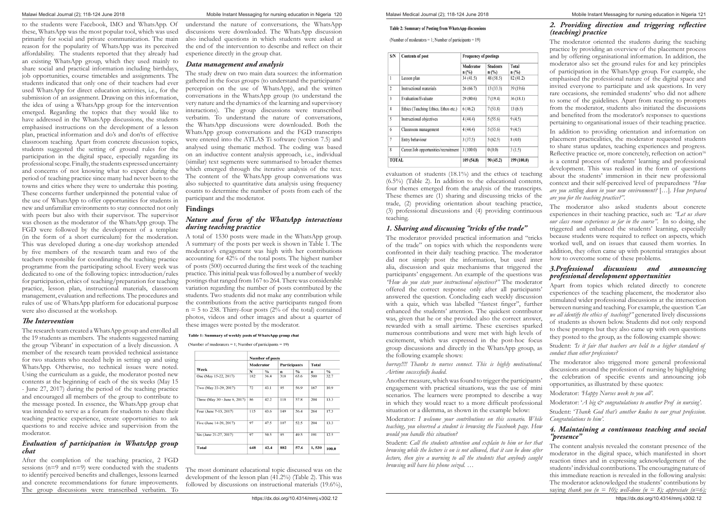understand the nature of conversations, the WhatsApp discussions were downloaded. The WhatsApp discussion also included questions in which students were asked at the end of the intervention to describe and reflect on their experience directly in the group chat.

# *Data management and analysis*

The study drew on two main data sources: the information gathered in the focus groups (to understand the participants' perception on the use of WhatsApp), and the written conversations in the WhatsApp group (to understand the very nature and the dynamics of the learning and supervisory interactions). The group discussions were transcribed verbatim. To understand the nature of conversations, the WhatsApp discussions were downloaded. Both the WhatsApp group conversations and the FGD transcripts were entered into the ATLAS Ti software (version 7.5) and analysed using thematic method. The coding was based on an inductive content analysis approach, i.e., individual (similar) text segments were summarised to broader themes which emerged through the iterative analysis of the text. The content of the WhatsApp group conversations was also subjected to quantitative data analysis using frequency counts to determine the number of posts from each of the participant and the moderator.

### **Findings**

## *Nature and form of the WhatsApp interactions during teaching practice*

A total of 1530 posts were made in the WhatsApp group. A summary of the posts per week is shown in Table 1. The moderator's engagement was high with her contributions accounting for 42% of the total posts. The highest number of posts (500) occurred during the first week of the teaching practice. This initial peak was followed by a number of weekly postings that ranged from 167 to 264. There was considerable variation regarding the number of posts contributed by the students. Two students did not make any contribution while the contributions from the active participants ranged from  $n = 5$  to 238. Thirty-four posts (2% of the total) contained photos, videos and other images and about a quarter of these images were posted by the moderator.

#### Table 1: Summary of weekly posts of WhatsApp group chat

(Number of moderators = 1; Number of participants = 19)

|                               | <b>Number of posts</b> |               |              |               |              |               |  |
|-------------------------------|------------------------|---------------|--------------|---------------|--------------|---------------|--|
| Week                          | Moderator              |               | Participants |               | <b>Total</b> |               |  |
|                               | N                      | $\frac{0}{0}$ | $\mathbf n$  | $\frac{0}{0}$ | n            | $\frac{0}{0}$ |  |
| One (May 15-22, 2017)         | 182                    | 36.4          | 318          | 63.6          | 500          | 32.7          |  |
| Two (May 23-29, 2017)         | 72                     | 43.1          | 95           | 56.9          | 167          | 10.9          |  |
| Three (May 30 - June 6, 2017) | 86                     | 42.2          | 118          | 57.8          | 204          | 13.3          |  |
| Four (June 7-13, 2017)        | 115                    | 43.6          | 149          | 56.4          | 264          | 17.3          |  |
| Five (June 14-20, 2017)       | 97                     | 47.5          | 107          | 52.5          | 204          | 13.3          |  |
| Six (June 21-27, 2017)        | 97                     | 50.5          | 95           | 49.5          | 191          | 12.5          |  |
| Total                         | 648                    | 42.4          | 882          | 57.6          | 1,530        | 100.0         |  |

The most dominant educational topic discussed was on the development of the lesson plan (41.2%) (Table 2). This was followed by discussions on instructional materials (19.6%),

#### Table 2: Summary of Posting from WhatsApp discussions

(Number of moderators = 1; Number of participants = 19)

| S/N            | <b>Contents of post</b>              | <b>Frequency of postings</b> |                                                |                                      |  |  |
|----------------|--------------------------------------|------------------------------|------------------------------------------------|--------------------------------------|--|--|
|                |                                      | Moderator<br>$n\ (\%)$       | <b>Students</b><br>$n\left(\frac{0}{0}\right)$ | Total<br>$n\left(\frac{0}{0}\right)$ |  |  |
| $\mathbf{1}$   | Lesson plan                          | 34(41.5)                     | 48 (58.5)                                      | 82 (41.2)                            |  |  |
| $\overline{2}$ | Instructional materials              | 26(66.7)                     | 13(33.3)                                       | 39(19.6)                             |  |  |
| 3              | Evaluation/Evaluate                  | 29(80.6)                     | 7(19.4)                                        | 36(18.1)                             |  |  |
| $\overline{4}$ | Ethics (Teaching Ethics, Ethos etc.) | 6(46.2)                      | 7(53.8)                                        | 13(6.5)                              |  |  |
| 5              | Instructional objectives             | 4(44.4)                      | 5(55.6)                                        | 9(4.5)                               |  |  |
| 6              | Classroom management                 | 4(44.4)                      | 5(55.6)                                        | 9(4.5)                               |  |  |
| $\overline{7}$ | Entry behaviour                      | 3(37.5)                      | 5(62.5)                                        | 8(4.0)                               |  |  |
| 8              | Career/Job opportunities/recruitment | 3(100.0)                     | 0(0.0)                                         | 3(1.5)                               |  |  |
| <b>TOTAL</b>   |                                      | 109 (54.8)                   | 90 (45.2)                                      | 199 (100.0)                          |  |  |

to the students were Facebook, IMO and WhatsApp. Of these, WhatsApp was the most popular tool, which was used primarily for social and private communication. The main reason for the popularity of WhatsApp was its perceived affordability. The students reported that they already had an existing WhatsApp group, which they used mainly to share social and practical information including birthdays, job opportunities, course timetables and assignments. The students indicated that only one of their teachers had ever used WhatsApp for direct education activities, i.e., for the submission of an assignment. Drawing on this information, the idea of using a WhatsApp group for the intervention emerged. Regarding the topics that they would like to have addressed in the WhatsApp discussions, the students emphasised instructions on the development of a lesson plan, practical information and do's and don'ts of effective classroom teaching. Apart from concrete discussion topics, students suggested the setting of ground rules for the participation in the digital space, especially regarding its professional scope. Finally, the students expressed uncertainty and concerns of not knowing what to expect during the period of teaching practice since many had never been to the towns and cities where they were to undertake this posting. These concerns further underpinned the potential value of the use of WhatsApp to offer opportunities for students in new and unfamiliar environments to stay connected not only with peers but also with their supervisor. The supervisor was chosen as the moderator of the WhatsApp group. The FGD were followed by the development of a template (in the form of a short curriculum) for the moderation. This was developed during a one-day workshop attended by five members of the research team and two of the teachers responsible for coordinating the teaching practice programme from the participating school. Every week was dedicated to one of the following topics: introduction/rules for participation, ethics of teaching/preparation for teaching practice, lesson plan, instructional materials, classroom management, evaluation and reflections. The procedures and rules of use of WhatsApp platform for educational purpose were also discussed at the workshop.

> Another measure, which was found to trigger the participants' engagement with practical situations, was the use of mini scenarios. The learners were prompted to describe a way in which they would react to a more difficult professional situation or a dilemma, as shown in the example below: opportunities, as illustrated by these quotes: Moderator: *'Happy Nurses week to you all'.*  Moderator: '*A big & congratulations to another Prof in nursing'*.

Student: *Call the students attention and explain to him or her that browsing while the lecture is on is not allowed, that it can be done after lecture, then give a warning to all the students that anybody caught browsing will have his phone seized. …* The content analysis revealed the constant presence of the moderator in the digital space, which manifested in short reaction times and in expressing acknowledgement of the students' individual contributions. The encouraging nature of this immediate reaction is revealed in the following analysis: The moderator acknowledged the students' contributions by saying *thank* you ( $n = 10$ ); well-done ( $n = 8$ ); appreciate ( $n=6$ );

### *The Intervention*

The research team created a WhatsApp group and enrolled all the 19 students as members. The students suggested naming the group 'Vibrant' in expectation of a lively discussion. A member of the research team provided technical assistance for two students who needed help in setting up and using WhatsApp. Otherwise, no technical issues were noted. Using the curriculum as a guide, the moderator posted new contents at the beginning of each of the six weeks (May 15 - June 27, 2017) during the period of the teaching practice and encouraged all members of the group to contribute to the message posted. In essence, the WhatsApp group chat was intended to serve as a forum for students to share their teaching practice experience, create opportunities to ask questions to and receive advice and supervision from the moderator.

## *Evaluation of participation in WhatsApp group chat*

After the completion of the teaching practice, 2 FGD sessions (n=9 and n=9) were conducted with the students to identify perceived benefits and challenges, lessons learned and concrete recommendations for future improvements. The group discussions were transcribed verbatim. To

evaluation of students (18.1%) and the ethics of teaching (6.5%) (Table 2). In addition to the educational contents, four themes emerged from the analysis of the transcripts. These themes are (1) sharing and discussing tricks of the trade, (2) providing orientation about teaching practice, (3) professional discussions and (4) providing continuous teaching.

## *1. Sharing and discussing "tricks of the trade"*

*hurray!!!! Thanks to nurses connect. This is highly motivational. Airtime successfully loaded.*

Moderator: *I welcome your contributions on this scenario. While teaching, you observed a student is browsing the Facebook page. How would you handle this situation?*

# *2. Providing direction and triggering reflective (teaching) practice*

The moderator provided practical information and "tricks of the trade" on topics with which the respondents were confronted in their daily teaching practice. The moderator did not simply post the information, but used inter alia, discussion and quiz mechanisms that triggered the participants' engagement. An example of the questions was *"How do you state your instructional objectives?"* The moderator offered the correct response only after all participants' answered the question. Concluding each weekly discussion with a quiz, which was labelled "fastest finger", further enhanced the students' attention. The quickest contributor was, given that he or she provided also the correct answer. rewarded with a small airtime. These exercises sparked numerous contributions and were met with high levels of excitement, which was expressed in the post-hoc focus group discussions and directly in the WhatsApp group, as the following example shows: worked well, and on issues that caused them worries. In addition, they often came up with potential strategies about how to overcome some of these problems. *3.Professional discussions and announcing professional development opportunities*  Apart from topics which related directly to concrete experiences of the teaching placement, the moderator also stimulated wider professional discussions at the intersection between nursing and teaching. For example, the question *'Can we all identify the ethics of teaching?"* generated lively discussions of students as shown below. Students did not only respond to these prompts but they also came up with own questions they posted to the group, as the following example shows: Student: *'Is it fair that teachers are held to a higher standard of conduct than other professions?*

The moderator oriented the students during the teaching practice by providing an overview of the placement process and by offering organisational information. In addition, the moderator also set the ground rules for and key principles of participation in the WhatsApp group. For example, she emphasised the professional nature of the digital space and invited everyone to participate and ask questions. In very rare occasions, she reminded students' who did not adhere to some of the guidelines. Apart from reacting to prompts from the moderator, students also initiated the discussions and benefited from the moderator's responses to questions pertaining to organisational issues of their teaching practice.

In addition to providing orientation and information on placement practicalities, the moderator requested students to share status updates, teaching experiences and progress. Reflective practice or, more concretely, reflection on action<sup>16</sup> is a central process of students' learning and professional development. This was realised in the form of questions about the students' immersion in their new professional context and their self-perceived level of preparedness *"How are you settling down in your new environment?* […]. *How prepared are you for the teaching practice?".* 

The moderator also asked students about concrete experiences in their teaching practice, such as: *"Let us share our class room experiences so far in the course"*. In so doing, she triggered and enhanced the students' learning, especially because students were required to reflect on aspects, which

The moderator also triggered more general professional discussions around the profession of nursing by highlighting the celebration of specific events and announcing job

Student: '*Thank God that's another kudos to our great profession. Congratulations to him'.* 

# *4. Maintaining a continuous teaching and social "presence"*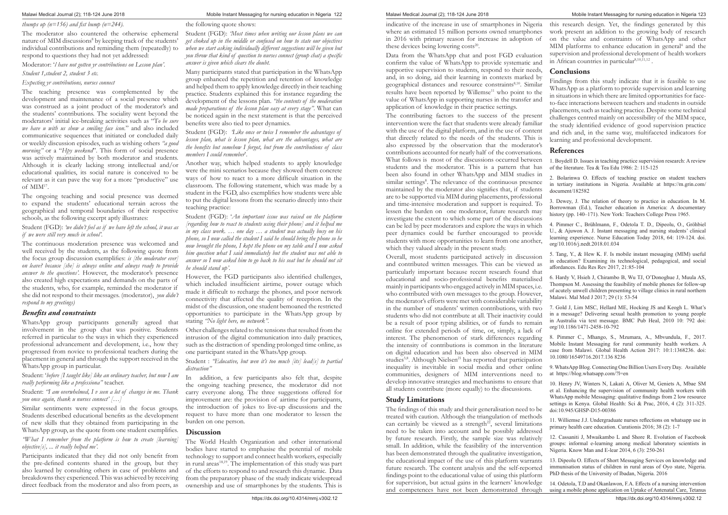### *thumps up (n=156) and fist bump (n=244)*.

The moderator also countered the otherwise ephemeral nature of MIM discussions<sup>8</sup> by keeping track of the students' individual contributions and reminding them (repeatedly) to respond to questions they had not yet addressed:

Moderator: '*l have not gotten yr contributions on Lesson plan'*.

## *Student 1,student 2, student 3 etc.*

### *Expecting yr contributions, nurses connect*

The ongoing teaching and social presence was deemed to expand the students' educational terrain across the geographical and temporal boundaries of their respective schools, as the following excerpt aptly illustrates:

The teaching presence was complemented by the development and maintenance of a social presence which was construed as a joint product of the moderator's and the students' contributions. The sociality went beyond the moderators' initial ice-breaking activities such as "T*o be sure we have u with us show a smiling face icon.*" and also included communicative sequences that initiated or concluded daily or weekly discussion episodes, such as wishing others *"a good morning"* or a "*Hpy weekend*". This form of social presence was actively maintained by both moderator and students. Although it is clearly lacking strong intellectual and/or educational qualities, its social nature is conceived to be relevant as it can pave the way for a more "productive" use of MIM17.

Student: '*before* [*I taught like] like an ordinary teacher, but now I am really performing like a professiona"* teacher.

Student (FGD): *'we didn't feel as if we have left the school, it was as if we were still very much in school'*.

The continuous moderation presence was welcomed and well received by the students, as the following quote from the focus group discussion exemplifies: *is [the moderator ever] on leave? because [she] is always online and always ready to provide answer to the questions'.* However, the moderator's presence also created high expectations and demands on the parts of the students, who, for example, reminded the moderator if she did not respond to their messages. (moderator), *you didn't respond to my greetings)*

### *Benefits and constraints*

WhatsApp group participants generally agreed that involvement in the group chat was positive. Students referred in particular to the ways in which they experienced professional advancement and development, i.e., how they progressed from novice to professional teachers during the placement in general and through the support received in the WhatsApp group in particular.

Student: *"I am overwhelmed, I v seen a lot of changes in me. Thank you once again, thank u nurses connect' […]*

Similar sentiments were expressed in the focus groups. Students described educational benefits as the development of new skills that they obtained from participating in the WhatsApp group, as the quote from one student exemplifies.

*"What I remember from the platform is how to create [learning] objective[s], ... it really helped me'.*

Participants indicated that they did not only benefit from the pre-defined contents shared in the group, but they also learned by consulting others in case of problems and breakdowns they experienced. This was achieved by receiving direct feedback from the moderator and also from peers, as

indicative of the increase in use of smartphones in Nigeria where an estimated 15 million persons owned smartphones in 2016 with primary reason for increase in adoption of these devices being lowering  $costs^{20}$ . Data from the WhatsApp chat and post FGD evaluation this research design. Yet, the findings generated by this work present an addition to the growing body of research on the value and constraints of WhatsApp and other MIM platforms to enhance education in general<sup>4</sup> and the supervision and professional development of health workers in African countries in particular  $8,10,11,12$ .

#### the following quote shows:

Student (FGD): *'Most times when writing our lesson plans we can get choked up in the middle or confused on how to state our objectives*  when we start asking individually different suggestions will be given but *you throw that kind of question to nurses connect (group chat) a specific answer is given which clears the doubt.*

Many participants stated that participation in the WhatsApp group enhanced the repetition and retention of knowledge and helped them to apply knowledge directly in their teaching practice. Students explained this for instance regarding the development of the lessons plan. *"the contents of the moderation made preparations of the lesson plan easy at every stage".* What can be noticed again in the next statement is that the perceived benefits were also tied to peer dynamics.

Student (FGD): *'Like once or twice I remember the advantages of lesson plan, what is lesson plan, what are the advantages, what are the benefits but somehow I forgot, but from the contributions of class members I could remember*'.

Another way, which helped students to apply knowledge were the mini scenarios because they showed them concrete ways of how to react to a more difficult situation in the classroom. The following statement, which was made by a student in the FGD, also exemplifies how students were able to put the digital lessons from the scenario directly into their teaching practice:

Student (FGD): '*An important issue was raised on the platform [regarding how to react to students using their phone] and it helped me in my class work. … one day … a student was actually busy on his phone, so I now called the student I said he should bring the phone so he now brought the phone, I kept the phone on my table and I now asked him question what I said immediately but the student was not able to answer so I now asked him to go back to his seat but he should not sit he should stand up'*.

However, the FGD participants also identified challenges, which included insufficient airtime, power outage which made it difficult to recharge the phones, and poor network connectivity that affected the quality of reception. In the midst of the discussion, one student bemoaned the restricted opportunities to participate in the WhatsApp group by stating *"No light here, no network".*

Other challenges related to the tensions that resulted from the intrusion of the digital communication into daily practices, such as the distraction of spending prolonged time online, as one participant stated in the WhatsApp group.

Student : *"Educative, but wen it's too much [its] lead[s] to partial distraction"* 

In addition, a few participants also felt that, despite the ongoing teaching presence, the moderator did not carry everyone along. The three suggestions offered for improvement are: the provision of airtime for participants, the introduction of jokes to live-up discussions and the request to have more than one moderator to lessen the burden on one person.

### **Discussion**

The World Health Organization and other international bodies have started to emphasise the potential of mobile technology to support and connect health workers, especially in rural  $a$ reas<sup>18,19</sup>. The implementation of this study was part of the efforts to respond to and research this dynamic. Data from the preparatory phase of the study indicate widespread ownership and use of smartphones by the students. This is

confirm the value of WhatsApp to provide systematic and supportive supervision to students, respond to their needs, and, in so doing, aid their learning in contexts marked by geographical distances and resource constraints<sup>8,10</sup>. Similar results have been reported by Willemse<sup>11</sup> who point to the value of WhatsApp in supporting nurses in the transfer and application of knowledge in their practice settings.

# **Study Limitations**

The contributing factors to the success of the present intervention were the fact that students were already familiar with the use of the digital platform, and in the use of content that directly related to the needs of the students. This is also expressed by the observation that the moderator's contributions accounted for nearly half of the conversations. What follows is most of the discussions occurred between students and the moderator. This is a pattern that has been also found in other WhatsApp and MIM studies in similar settings<sup>8</sup>. The relevance of the continuous presence maintained by the moderator also signifies that, if students are to be supported via MIM during placements, professional and time-intensive moderation and support is required. To lessen the burden on one moderator, future research may investigate the extent to which some part of the discussions can be led by peer moderators and explore the ways in which peer dynamics could be further encouraged to provide students with more opportunities to learn from one another, which they valued already in the present study. challenges centred mainly on accessibility of the MIM space, the study identified evidence of good supervision practice and rich and, in the same way, multifaceted indicators for learning and professional development. **References**  1. Boydell D. Issues in teaching practice supervision research: A review of the literature. Tea & Tea Edu 1986: 2: 115-125 2. Bolarinwa O. Effects of teaching practice on student teachers in tertiary institutions in Nigeria. Available at https://m.grin.com/ document/182582 3. Dewey, J. The relation of theory to practice in education. In M. Borrowman (Ed.), Teacher education in America: A documentary history (pp. 140–171). New York: Teachers College Press 1965. 4. Pimmer C., Brühlmann, F., Odetola T. D., Dipeolu, O., Gröhbiel U., & Ajuwon A. J. Instant messaging and nursing students' clinical learning experience. Nurse Education Today 2018, 64: 119-124. doi. org/10.1016/j.nedt.2018.01.034

# **Conclusions**

Overall, most students participated actively in discussion and contributed written messages. This can be viewed as particularly important because recent research found that educational and socio-professional benefits materialised mainly in participants who engaged actively in MIM spaces, i.e. who contributed with own messages to the group. However, the moderator's efforts were met with considerable variability in the number of students' written contributions, with two students who did not contribute at all. Their inactivity could be a result of poor typing abilities, or of funds to remain online for extended periods of time, or, simply, a lack of interest. The phenomenon of stark differences regarding the intensity of contributions is common in the literature on digital education and has been also observed in MIM studies<sup>5,8</sup>. Although Nielsen<sup>21</sup> has reported that participation inequality is inevitable in social media and other online communities, designers of MIM interventions need to develop innovative strategies and mechanisms to ensure that all students contribute (more equally) to the discussions. 5. Tang, Y., & Hew K. F. Is mobile instant messaging (MIM) useful in education? Examining its technological, pedagogical, and social affordances. Edu Res Rev 2017, 21:85-104 6. Hardy V, Hsieh J, Chirambo B, Wu TJ, O'Donoghue J, Muula AS, Thompson M. Assessing the feasibility of mobile phones for follow-up of acutely unwell children presenting to village clinics in rural northern Malawi. Mal Med J 2017; 29 (1): 53-54 7. Gold J, Lim MSC, Hellard ME, Hocking JS and Keogh L. What's in a message? Delivering sexual health promotion to young people in Australia via text message. BMC Pub Heal, 2010 10: 792 doi: org/10.1186/1471-2458-10-792 8. Pimmer C., Mhango, S., Mzumara, A., Mbvundula, F., 2017. Mobile Instant Messaging for rural community health workers. A case from Malawi. Global Health Action 2017: 10:1:1368236. doi: 10.1080/16549716.2017.136 8236 9. WhatsApp Blog. Connecting One Billion Users Every Day. Available at https://blog.whatsapp.com/?l=en 10. Henry JV, Winters N, Lakati A, Oliver M, Geniets A, Mbae SM

Findings from this study indicate that it is feasible to use WhatsApp as a platform to provide supervision and learning in situations in which there are limited opportunities for faceto-face interactions between teachers and students in outside placements, such as teaching practice. Despite some technical

The findings of this study and their generalisation need to be treated with caution. Although the triangulation of methods can certainly be viewed as a strength<sup>22</sup>, several limitations need to be taken into account and be possibly addressed by future research. Firstly, the sample size was relatively small. In addition, while the feasibility of the intervention has been demonstrated through the qualitative investigation, the educational impact of the use of this platform warrants future research. The content analysis and the self-reported findings point to the educational value of using this platform for supervision, but actual gains in the learners' knowledge and competences have not been demonstrated through doi:10.945/GHSP-D15-00386 11. Williemse J.J. Undergraduate nurses reflections on whatsapp use in primary health care education. Curationis 2016; 38 (2): 1-7 12. Cassaniti J, Mwaikambo L and Shore R. Evolution of Facebook groups: informal e-learning among medical laboratory scientists in Nigeria. Know Man and E-lear 2014, 6 (3): 250-261 13. Dipeolu O. Effects of Short Messaging Services on knowledge and immunisation status of children in rural areas of Oyo state, Nigeria. PhD thesis of the University of Ibadan, Nigeria. 2016 14. Odetola, T.D and Okanlawon, F.A. Effects of a nursing intervention using a mobile phone application on Uptake of Antenatal Care, Tetanus

et al. Enhancing the supervision of community health workers with WhatsApp mobile Messaging: qualitative findings from 2 low resource settings in Kenya. Global Health: Sci & Prac, 2016, 4 (2): 311-325.